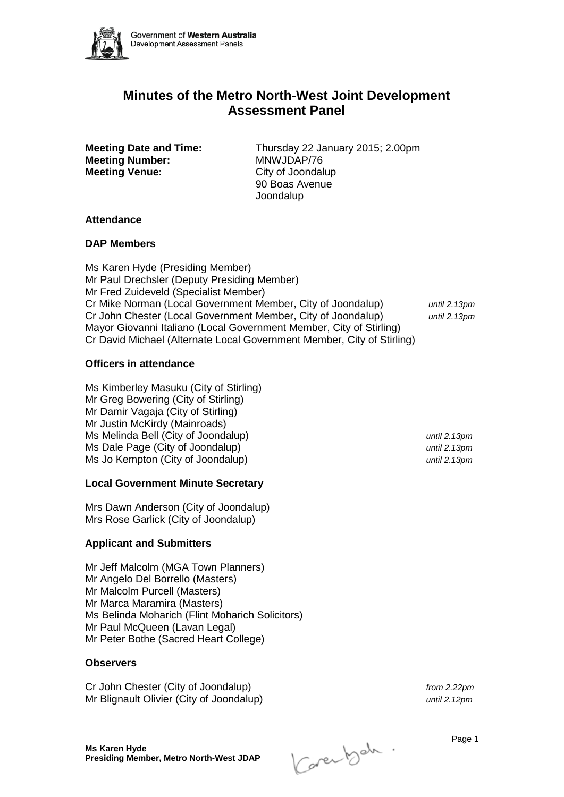

# **Minutes of the Metro North-West Joint Development Assessment Panel**

**Meeting Number:** MNWJDAP/76<br> **Meeting Venue:** City of Joondal

**Meeting Date and Time:** Thursday 22 January 2015; 2.00pm **City of Joondalup** 90 Boas Avenue **Joondalup** 

## **Attendance**

#### **DAP Members**

Ms Karen Hyde (Presiding Member) Mr Paul Drechsler (Deputy Presiding Member) Mr Fred Zuideveld (Specialist Member) Cr Mike Norman (Local Government Member, City of Joondalup) *until 2.13pm* Cr John Chester (Local Government Member, City of Joondalup) *until 2.13pm* Mayor Giovanni Italiano (Local Government Member, City of Stirling) Cr David Michael (Alternate Local Government Member, City of Stirling)

## **Officers in attendance**

Ms Kimberley Masuku (City of Stirling) Mr Greg Bowering (City of Stirling) Mr Damir Vagaja (City of Stirling) Mr Justin McKirdy (Mainroads) Ms Melinda Bell (City of Joondalup) *until 2.13pm* Ms Dale Page (City of Joondalup) *until 2.13pm* Ms Jo Kempton (City of Joondalup) *until 2.13pm*

## **Local Government Minute Secretary**

Mrs Dawn Anderson (City of Joondalup) Mrs Rose Garlick (City of Joondalup)

## **Applicant and Submitters**

Mr Jeff Malcolm (MGA Town Planners) Mr Angelo Del Borrello (Masters) Mr Malcolm Purcell (Masters) Mr Marca Maramira (Masters) Ms Belinda Moharich (Flint Moharich Solicitors) Mr Paul McQueen (Lavan Legal) Mr Peter Bothe (Sacred Heart College)

## **Observers**

Cr John Chester (City of Joondalup) *from 2.22pm* Mr Blignault Olivier (City of Joondalup) *until 2.12pm*

Karenbah. Page 1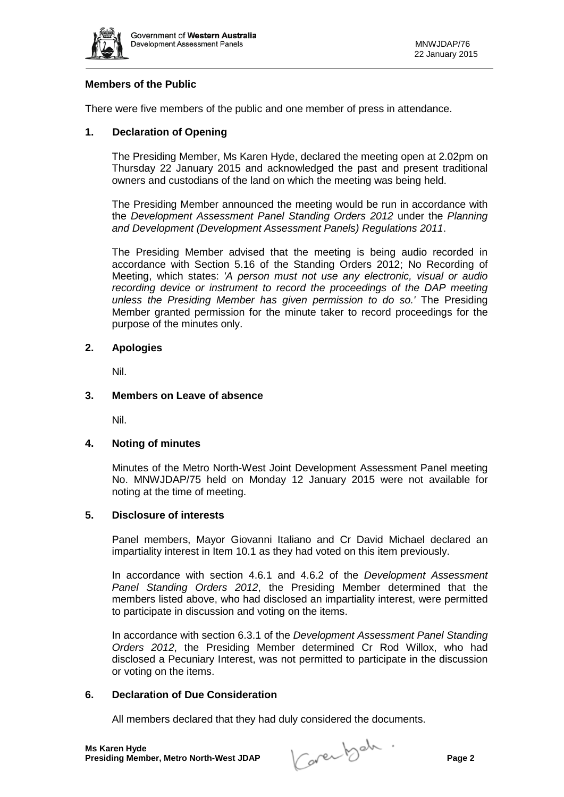

# **Members of the Public**

There were five members of the public and one member of press in attendance.

#### **1. Declaration of Opening**

The Presiding Member, Ms Karen Hyde, declared the meeting open at 2.02pm on Thursday 22 January 2015 and acknowledged the past and present traditional owners and custodians of the land on which the meeting was being held.

The Presiding Member announced the meeting would be run in accordance with the *Development Assessment Panel Standing Orders 2012* under the *Planning and Development (Development Assessment Panels) Regulations 2011*.

The Presiding Member advised that the meeting is being audio recorded in accordance with Section 5.16 of the Standing Orders 2012; No Recording of Meeting, which states: *'A person must not use any electronic, visual or audio recording device or instrument to record the proceedings of the DAP meeting unless the Presiding Member has given permission to do so.'* The Presiding Member granted permission for the minute taker to record proceedings for the purpose of the minutes only.

# **2. Apologies**

Nil.

#### **3. Members on Leave of absence**

Nil.

#### **4. Noting of minutes**

Minutes of the Metro North-West Joint Development Assessment Panel meeting No. MNWJDAP/75 held on Monday 12 January 2015 were not available for noting at the time of meeting.

#### **5. Disclosure of interests**

Panel members, Mayor Giovanni Italiano and Cr David Michael declared an impartiality interest in Item 10.1 as they had voted on this item previously.

In accordance with section 4.6.1 and 4.6.2 of the *Development Assessment Panel Standing Orders 2012*, the Presiding Member determined that the members listed above, who had disclosed an impartiality interest, were permitted to participate in discussion and voting on the items.

In accordance with section 6.3.1 of the *Development Assessment Panel Standing Orders 2012*, the Presiding Member determined Cr Rod Willox, who had disclosed a Pecuniary Interest, was not permitted to participate in the discussion or voting on the items.

## **6. Declaration of Due Consideration**

All members declared that they had duly considered the documents.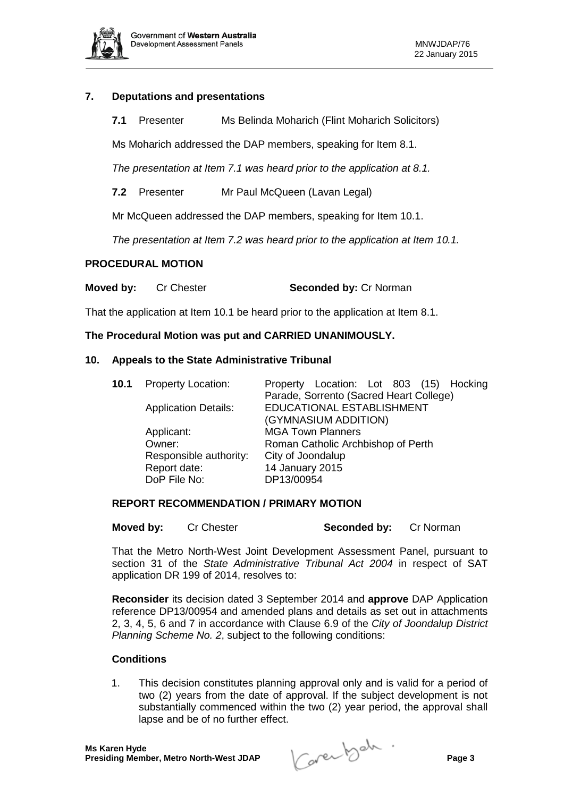

## **7. Deputations and presentations**

**7.1** Presenter Ms Belinda Moharich (Flint Moharich Solicitors)

Ms Moharich addressed the DAP members, speaking for Item 8.1.

*The presentation at Item 7.1 was heard prior to the application at 8.1.*

**7.2** Presenter Mr Paul McQueen (Lavan Legal)

Mr McQueen addressed the DAP members, speaking for Item 10.1.

*The presentation at Item 7.2 was heard prior to the application at Item 10.1.*

## **PROCEDURAL MOTION**

**Moved by:** Cr Chester **Seconded by: Cr Norman** 

That the application at Item 10.1 be heard prior to the application at Item 8.1.

## **The Procedural Motion was put and CARRIED UNANIMOUSLY.**

#### **10. Appeals to the State Administrative Tribunal**

| 10.1 | <b>Property Location:</b>   | Property Location: Lot 803 (15) Hocking |
|------|-----------------------------|-----------------------------------------|
|      |                             | Parade, Sorrento (Sacred Heart College) |
|      | <b>Application Details:</b> | EDUCATIONAL ESTABLISHMENT               |
|      |                             | (GYMNASIUM ADDITION)                    |
|      | Applicant:                  | <b>MGA Town Planners</b>                |
|      | Owner:                      | Roman Catholic Archbishop of Perth      |
|      | Responsible authority:      | City of Joondalup                       |
|      | Report date:                | 14 January 2015                         |
|      | DoP File No:                | DP13/00954                              |
|      |                             |                                         |

#### **REPORT RECOMMENDATION / PRIMARY MOTION**

**Moved by:** Cr Chester **Seconded by:** Cr Norman

That the Metro North-West Joint Development Assessment Panel, pursuant to section 31 of the *State Administrative Tribunal Act 2004* in respect of SAT application DR 199 of 2014, resolves to:

**Reconsider** its decision dated 3 September 2014 and **approve** DAP Application reference DP13/00954 and amended plans and details as set out in attachments 2, 3, 4, 5, 6 and 7 in accordance with Clause 6.9 of the *City of Joondalup District Planning Scheme No. 2*, subject to the following conditions:

## **Conditions**

1. This decision constitutes planning approval only and is valid for a period of two (2) years from the date of approval. If the subject development is not substantially commenced within the two (2) year period, the approval shall lapse and be of no further effect.

**Presiding Member, Metro North-West JDAP Page 3**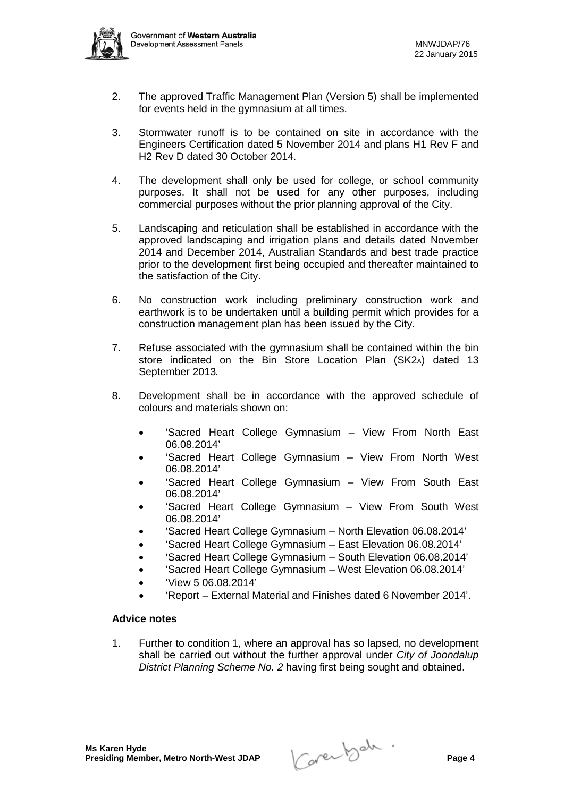

- 2. The approved Traffic Management Plan (Version 5) shall be implemented for events held in the gymnasium at all times.
- 3. Stormwater runoff is to be contained on site in accordance with the Engineers Certification dated 5 November 2014 and plans H1 Rev F and H2 Rev D dated 30 October 2014.
- 4. The development shall only be used for college, or school community purposes. It shall not be used for any other purposes, including commercial purposes without the prior planning approval of the City.
- 5. Landscaping and reticulation shall be established in accordance with the approved landscaping and irrigation plans and details dated November 2014 and December 2014, Australian Standards and best trade practice prior to the development first being occupied and thereafter maintained to the satisfaction of the City.
- 6. No construction work including preliminary construction work and earthwork is to be undertaken until a building permit which provides for a construction management plan has been issued by the City.
- 7. Refuse associated with the gymnasium shall be contained within the bin store indicated on the Bin Store Location Plan (SK2A) dated 13 September 2013*.*
- 8. Development shall be in accordance with the approved schedule of colours and materials shown on:
	- 'Sacred Heart College Gymnasium View From North East 06.08.2014'
	- 'Sacred Heart College Gymnasium View From North West 06.08.2014'
	- 'Sacred Heart College Gymnasium View From South East 06.08.2014'
	- 'Sacred Heart College Gymnasium View From South West 06.08.2014'
	- 'Sacred Heart College Gymnasium North Elevation 06.08.2014'
	- 'Sacred Heart College Gymnasium East Elevation 06.08.2014'
	- 'Sacred Heart College Gymnasium South Elevation 06.08.2014'
	- 'Sacred Heart College Gymnasium West Elevation 06.08.2014'
	- 'View 5 06.08.2014'
		- 'Report External Material and Finishes dated 6 November 2014'.

## **Advice notes**

1. Further to condition 1, where an approval has so lapsed, no development shall be carried out without the further approval under *City of Joondalup District Planning Scheme No. 2* having first being sought and obtained.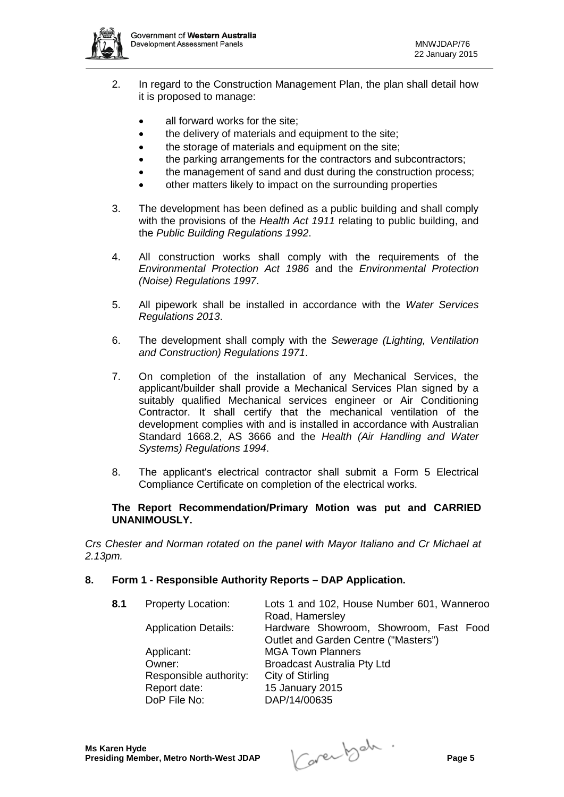

- 2. In regard to the Construction Management Plan, the plan shall detail how it is proposed to manage:
	- all forward works for the site;
	- the delivery of materials and equipment to the site;
	- the storage of materials and equipment on the site;
	- the parking arrangements for the contractors and subcontractors;
	- the management of sand and dust during the construction process;
	- other matters likely to impact on the surrounding properties
- 3. The development has been defined as a public building and shall comply with the provisions of the *Health Act 1911* relating to public building, and the *Public Building Regulations 1992*.
- 4. All construction works shall comply with the requirements of the *Environmental Protection Act 1986* and the *Environmental Protection (Noise) Regulations 1997*.
- 5. All pipework shall be installed in accordance with the *Water Services Regulations 2013*.
- 6. The development shall comply with the *Sewerage (Lighting, Ventilation and Construction) Regulations 1971*.
- 7. On completion of the installation of any Mechanical Services, the applicant/builder shall provide a Mechanical Services Plan signed by a suitably qualified Mechanical services engineer or Air Conditioning Contractor. It shall certify that the mechanical ventilation of the development complies with and is installed in accordance with Australian Standard 1668.2, AS 3666 and the *Health (Air Handling and Water Systems) Regulations 1994*.
- 8. The applicant's electrical contractor shall submit a Form 5 Electrical Compliance Certificate on completion of the electrical works.

## **The Report Recommendation/Primary Motion was put and CARRIED UNANIMOUSLY.**

*Crs Chester and Norman rotated on the panel with Mayor Italiano and Cr Michael at 2.13pm.*

## **8. Form 1 - Responsible Authority Reports – DAP Application.**

**8.1** Property Location: Lots 1 and 102, House Number 601, Wanneroo Road, Hamersley Application Details: Hardware Showroom, Showroom, Fast Food Outlet and Garden Centre ("Masters") Applicant: MGA Town Planners Owner: Broadcast Australia Pty Ltd Responsible authority: City of Stirling<br>Report date: 15 January 20 Report date: 15 January 2015<br>DoP File No: DAP/14/00635 DAP/14/00635